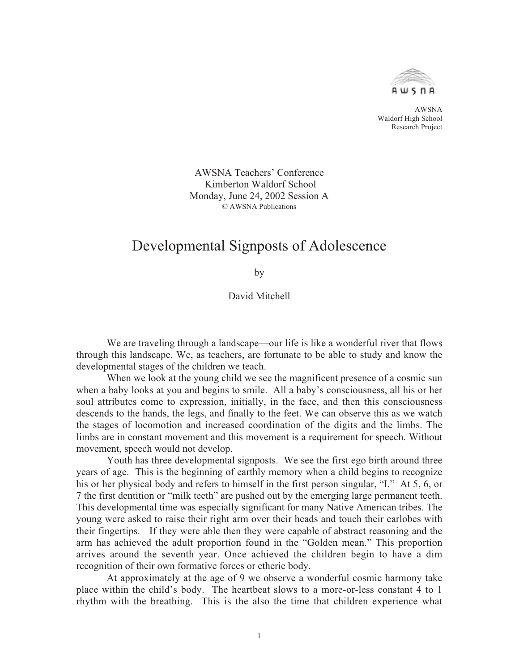

 AWSNA Waldorf High School Research Project

AWSNA Teachers' Conference Kimberton Waldorf School Monday, June 24, 2002 Session A © AWSNA Publications

## Developmental Signposts of Adolescence

by

David Mitchell

We are traveling through a landscape—our life is like a wonderful river that flows through this landscape. We, as teachers, are fortunate to be able to study and know the developmental stages of the children we teach.

When we look at the young child we see the magnificent presence of a cosmic sun when a baby looks at you and begins to smile. All a baby's consciousness, all his or her soul attributes come to expression, initially, in the face, and then this consciousness descends to the hands, the legs, and finally to the feet. We can observe this as we watch the stages of locomotion and increased coordination of the digits and the limbs. The limbs are in constant movement and this movement is a requirement for speech. Without movement, speech would not develop.

Youth has three developmental signposts. We see the first ego birth around three years of age. This is the beginning of earthly memory when a child begins to recognize his or her physical body and refers to himself in the first person singular, "I." At 5, 6, or 7 the first dentition or "milk teeth" are pushed out by the emerging large permanent teeth. This developmental time was especially significant for many Native American tribes. The young were asked to raise their right arm over their heads and touch their earlobes with their fingertips. If they were able then they were capable of abstract reasoning and the arm has achieved the adult proportion found in the "Golden mean." This proportion arrives around the seventh year. Once achieved the children begin to have a dim recognition of their own formative forces or etheric body.

At approximately at the age of 9 we observe a wonderful cosmic harmony take place within the child's body. The heartbeat slows to a more-or-less constant 4 to 1 rhythm with the breathing. This is the also the time that children experience what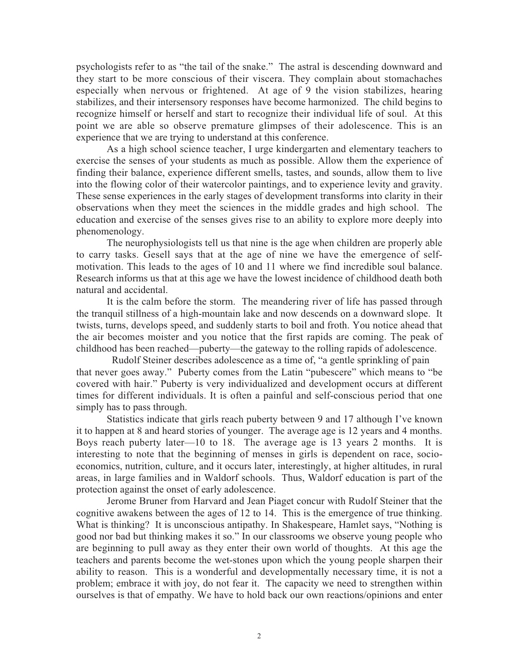psychologists refer to as "the tail of the snake." The astral is descending downward and they start to be more conscious of their viscera. They complain about stomachaches especially when nervous or frightened. At age of 9 the vision stabilizes, hearing stabilizes, and their intersensory responses have become harmonized. The child begins to recognize himself or herself and start to recognize their individual life of soul. At this point we are able so observe premature glimpses of their adolescence. This is an experience that we are trying to understand at this conference.

As a high school science teacher, I urge kindergarten and elementary teachers to exercise the senses of your students as much as possible. Allow them the experience of finding their balance, experience different smells, tastes, and sounds, allow them to live into the flowing color of their watercolor paintings, and to experience levity and gravity. These sense experiences in the early stages of development transforms into clarity in their observations when they meet the sciences in the middle grades and high school. The education and exercise of the senses gives rise to an ability to explore more deeply into phenomenology.

The neurophysiologists tell us that nine is the age when children are properly able to carry tasks. Gesell says that at the age of nine we have the emergence of selfmotivation. This leads to the ages of 10 and 11 where we find incredible soul balance. Research informs us that at this age we have the lowest incidence of childhood death both natural and accidental.

It is the calm before the storm. The meandering river of life has passed through the tranquil stillness of a high-mountain lake and now descends on a downward slope. It twists, turns, develops speed, and suddenly starts to boil and froth. You notice ahead that the air becomes moister and you notice that the first rapids are coming. The peak of childhood has been reached—puberty—the gateway to the rolling rapids of adolescence.

 Rudolf Steiner describes adolescence as a time of, "a gentle sprinkling of pain that never goes away." Puberty comes from the Latin "pubescere" which means to "be covered with hair." Puberty is very individualized and development occurs at different times for different individuals. It is often a painful and self-conscious period that one simply has to pass through.

Statistics indicate that girls reach puberty between 9 and 17 although I've known it to happen at 8 and heard stories of younger. The average age is 12 years and 4 months. Boys reach puberty later—10 to 18. The average age is 13 years 2 months. It is interesting to note that the beginning of menses in girls is dependent on race, socioeconomics, nutrition, culture, and it occurs later, interestingly, at higher altitudes, in rural areas, in large families and in Waldorf schools. Thus, Waldorf education is part of the protection against the onset of early adolescence.

Jerome Bruner from Harvard and Jean Piaget concur with Rudolf Steiner that the cognitive awakens between the ages of 12 to 14. This is the emergence of true thinking. What is thinking? It is unconscious antipathy. In Shakespeare, Hamlet says, "Nothing is good nor bad but thinking makes it so." In our classrooms we observe young people who are beginning to pull away as they enter their own world of thoughts. At this age the teachers and parents become the wet-stones upon which the young people sharpen their ability to reason. This is a wonderful and developmentally necessary time, it is not a problem; embrace it with joy, do not fear it. The capacity we need to strengthen within ourselves is that of empathy. We have to hold back our own reactions/opinions and enter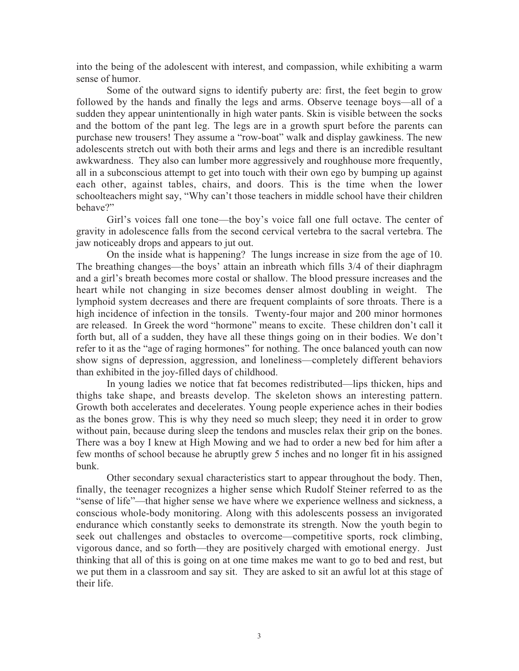into the being of the adolescent with interest, and compassion, while exhibiting a warm sense of humor.

Some of the outward signs to identify puberty are: first, the feet begin to grow followed by the hands and finally the legs and arms. Observe teenage boys—all of a sudden they appear unintentionally in high water pants. Skin is visible between the socks and the bottom of the pant leg. The legs are in a growth spurt before the parents can purchase new trousers! They assume a "row-boat" walk and display gawkiness. The new adolescents stretch out with both their arms and legs and there is an incredible resultant awkwardness. They also can lumber more aggressively and roughhouse more frequently, all in a subconscious attempt to get into touch with their own ego by bumping up against each other, against tables, chairs, and doors. This is the time when the lower schoolteachers might say, "Why can't those teachers in middle school have their children behave?"

Girl's voices fall one tone—the boy's voice fall one full octave. The center of gravity in adolescence falls from the second cervical vertebra to the sacral vertebra. The jaw noticeably drops and appears to jut out.

On the inside what is happening? The lungs increase in size from the age of 10. The breathing changes—the boys' attain an inbreath which fills 3/4 of their diaphragm and a girl's breath becomes more costal or shallow. The blood pressure increases and the heart while not changing in size becomes denser almost doubling in weight. The lymphoid system decreases and there are frequent complaints of sore throats. There is a high incidence of infection in the tonsils. Twenty-four major and 200 minor hormones are released. In Greek the word "hormone" means to excite. These children don't call it forth but, all of a sudden, they have all these things going on in their bodies. We don't refer to it as the "age of raging hormones" for nothing. The once balanced youth can now show signs of depression, aggression, and loneliness—completely different behaviors than exhibited in the joy-filled days of childhood.

In young ladies we notice that fat becomes redistributed—lips thicken, hips and thighs take shape, and breasts develop. The skeleton shows an interesting pattern. Growth both accelerates and decelerates. Young people experience aches in their bodies as the bones grow. This is why they need so much sleep; they need it in order to grow without pain, because during sleep the tendons and muscles relax their grip on the bones. There was a boy I knew at High Mowing and we had to order a new bed for him after a few months of school because he abruptly grew 5 inches and no longer fit in his assigned bunk.

Other secondary sexual characteristics start to appear throughout the body. Then, finally, the teenager recognizes a higher sense which Rudolf Steiner referred to as the "sense of life"—that higher sense we have where we experience wellness and sickness, a conscious whole-body monitoring. Along with this adolescents possess an invigorated endurance which constantly seeks to demonstrate its strength. Now the youth begin to seek out challenges and obstacles to overcome—competitive sports, rock climbing, vigorous dance, and so forth—they are positively charged with emotional energy. Just thinking that all of this is going on at one time makes me want to go to bed and rest, but we put them in a classroom and say sit. They are asked to sit an awful lot at this stage of their life.